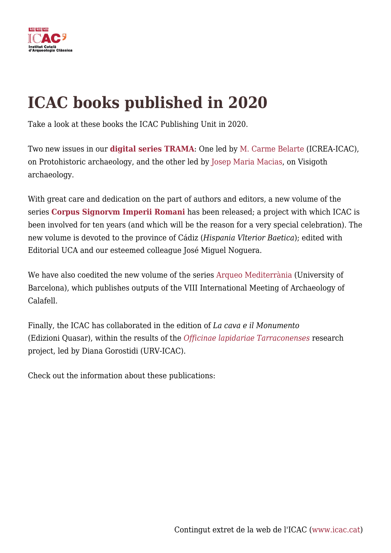

## **ICAC books published in 2020**

Take a look at these books the ICAC Publishing Unit in 2020.

Two new issues in our **[digital series TRAMA](https://icac.cat/serveis/publicacions/col·leccio/trama/)**: One led by [M. Carme Belarte](https://icac.cat/en/who-are-we/staff/cbelarte/) (ICREA-ICAC), on Protohistoric archaeology, and the other led by [Josep Maria Macias](https://icac.cat/en/who-are-we/staff/jmmacias/), on Visigoth archaeology.

With great care and dedication on the part of authors and editors, a new volume of the series **[Corpus Signorvm Imperii Romani](https://icac.cat/en/serveis/publicacions/llibre/corpvs-signorvm-imperii-romani-corpvs-de-esculturas-del-imperio-romano/)** has been released; a project with which ICAC is been involved for ten years (and which will be the reason for a very special celebration). The new volume is devoted to the province of Cádiz (*Hispania Vlterior Baetica*); edited with Editorial UCA and our esteemed colleague José Miguel Noguera.

We have also coedited the new volume of the series [Arqueo Mediterrània](https://icac.cat/en/serveis/publicacions/llibre/iron-metallurgy-and-the-formation-of-complex-societies-in-the-western-mediterranean-1st-millennium-bc/) (University of Barcelona), which publishes outputs of the VIII International Meeting of Archaeology of Calafell.

Finally, the ICAC has collaborated in the edition of *La cava e il Monumento* (Edizioni Quasar), within the results of the *[Officinae lapidariae Tarraconenses](https://icac.cat/en/recerca/projectes-de-recerca/projecte/officinae-lapidariae-tarraconenses-canteras-talleres-y-producciones-artisticas-en-piedra-de-la-provincia-tarraconensis-id-har2015-65319-p/)* research project, led by Diana Gorostidi (URV-ICAC).

Check out the information about these publications: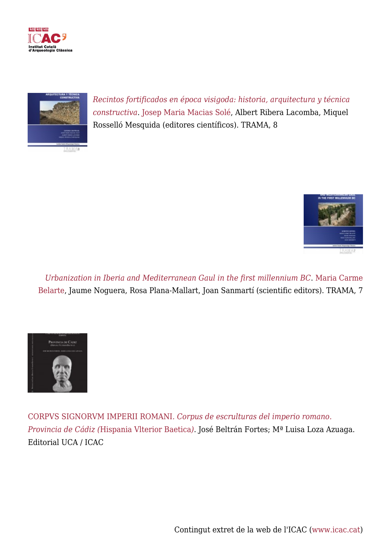



*[Recintos fortificados en época visigoda: historia, arquitectura y técnica](https://icac.cat/en/serveis/publicacions/llibre/recintos-fortificados-en-epoca-visigoda-historia-arquitectura-y-tecnica-constructiva/) [constructiva](https://icac.cat/en/serveis/publicacions/llibre/recintos-fortificados-en-epoca-visigoda-historia-arquitectura-y-tecnica-constructiva/)*. [Josep Maria Macias Solé](https://icac.cat/en/who-are-we/staff/jmmacias/), Albert Ribera Lacomba, Miquel Rosselló Mesquida (editores científicos). TRAMA, 8



*[Urbanization in Iberia and Mediterranean Gaul in the first millennium BC](https://icac.cat/en/serveis/publicacions/llibre/urbanization-in-iberia-and-mediterranean-gaul-in-the-first-millennium-bc/)*. [Maria Carme](https://icac.cat/en/who-are-we/staff/cbelarte/) [Belarte](https://icac.cat/en/who-are-we/staff/cbelarte/), Jaume Noguera, Rosa Plana-Mallart, Joan Sanmartí (scientific editors). TRAMA, 7



[CORPVS SIGNORVM IMPERII ROMANI](https://icac.cat/en/serveis/publicacions/llibre/corpvs-signorvm-imperii-romani-corpvs-de-esculturas-del-imperio-romano/)*[. Corpus de escrulturas del imperio romano.](https://icac.cat/en/serveis/publicacions/llibre/corpvs-signorvm-imperii-romani-corpvs-de-esculturas-del-imperio-romano/) [Provincia de Cádiz \(](https://icac.cat/en/serveis/publicacions/llibre/corpvs-signorvm-imperii-romani-corpvs-de-esculturas-del-imperio-romano/)*[Hispania Vlterior Baetica](https://icac.cat/en/serveis/publicacions/llibre/corpvs-signorvm-imperii-romani-corpvs-de-esculturas-del-imperio-romano/)*[\)](https://icac.cat/en/serveis/publicacions/llibre/corpvs-signorvm-imperii-romani-corpvs-de-esculturas-del-imperio-romano/)*. José Beltrán Fortes; Mª Luisa Loza Azuaga. Editorial UCA / ICAC